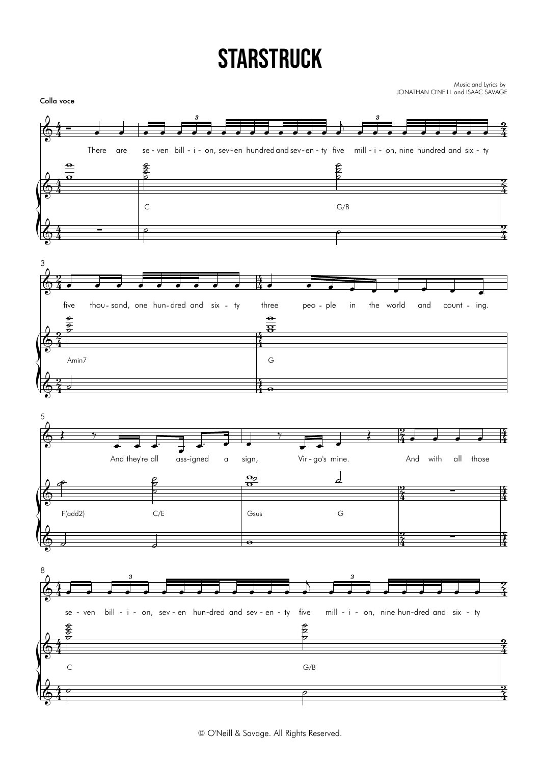## **STARSTRUCK**

Music and Lyrics by<br>JONATHAN O'NEILL and ISAAC SAVAGE

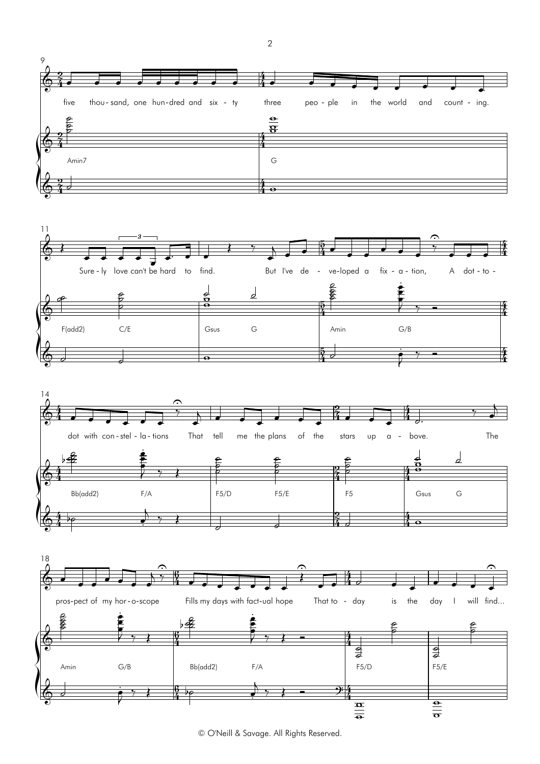

 $\sqrt{2}$ 





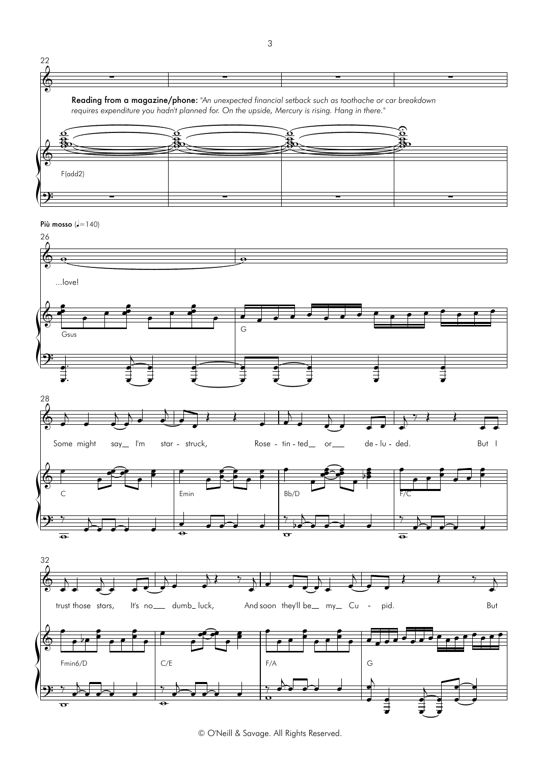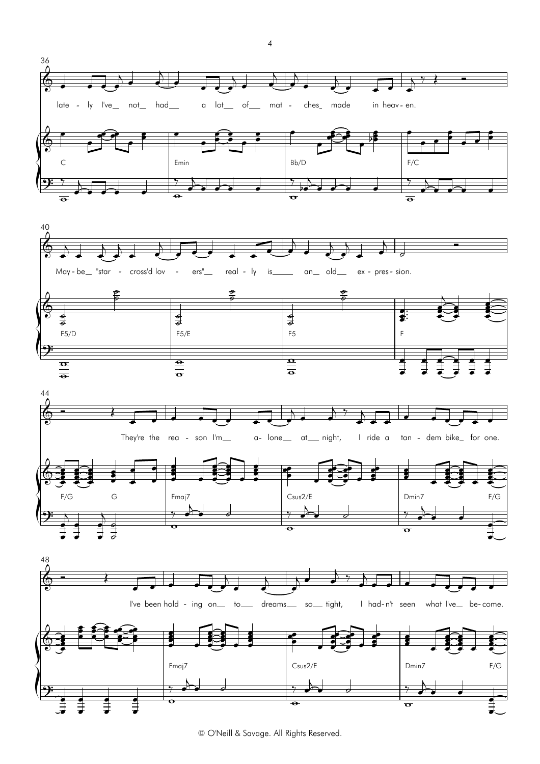







 $\overline{4}$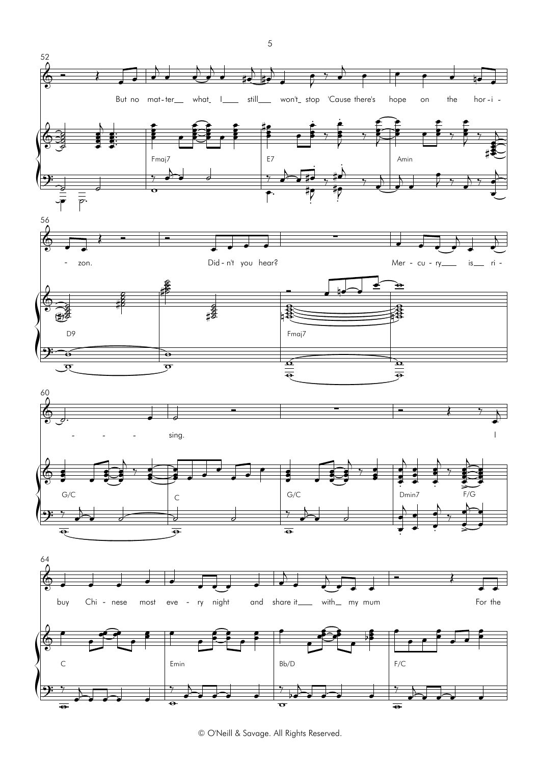

 $\sqrt{5}$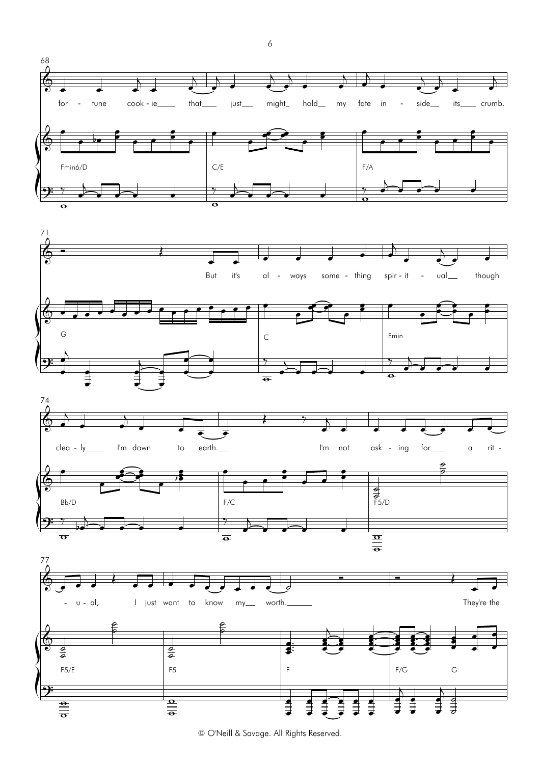

≢ ≢ ≢् œ

⇟⇟ œ

इ. इ. इ œ

≢ ≢ ≢ œ

 $\vec{z}$   $\vec{z}$   $\vec{a}$ œ

 $\Rightarrow$   $\Rightarrow$  7 œ

₹₹₹

 $\Rightarrow$   $\Rightarrow$   $\Rightarrow$ 

 $\exists$   $\exists$ 

 $\overline{\theta}$ 

 $\equiv$  $\overline{\mathbf{a}}$ 

 $\frac{1}{\sigma}$  $\frac{\theta}{\theta}$  6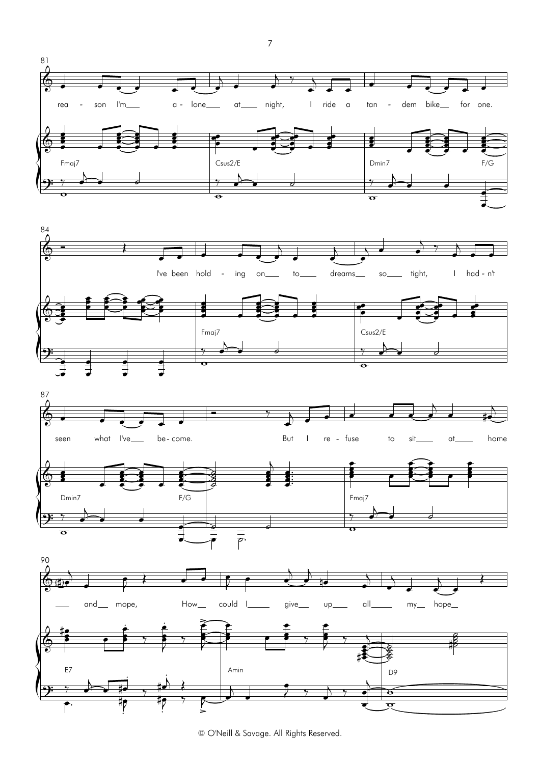







 $\boldsymbol{7}$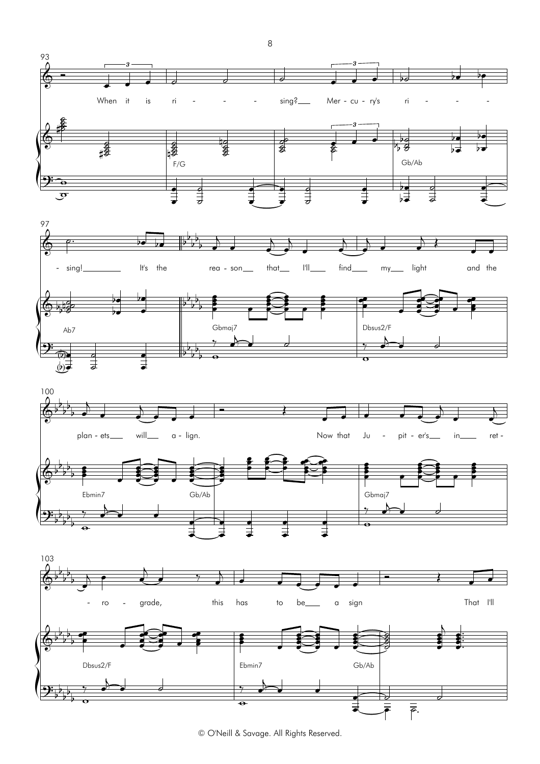

8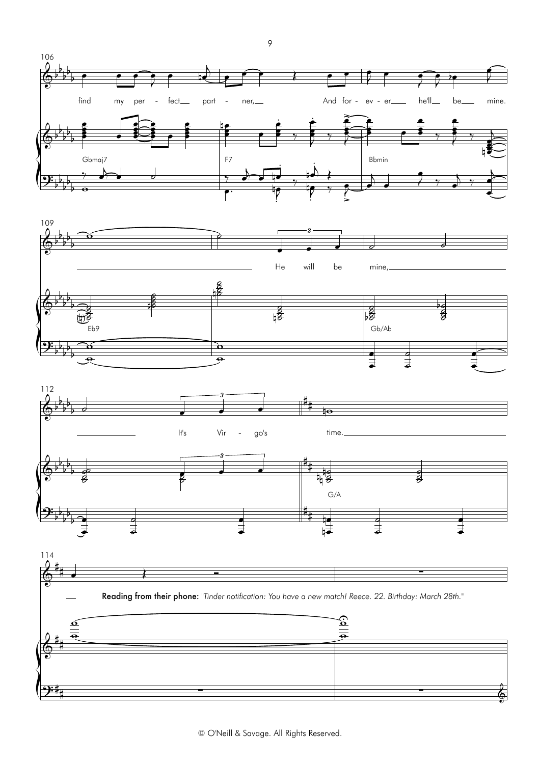

# ∑ ∑ &

 ${\sqrt{\frac{1}{2}}\cdot \frac{1}{2}}$ 

 $9:4$ 

9